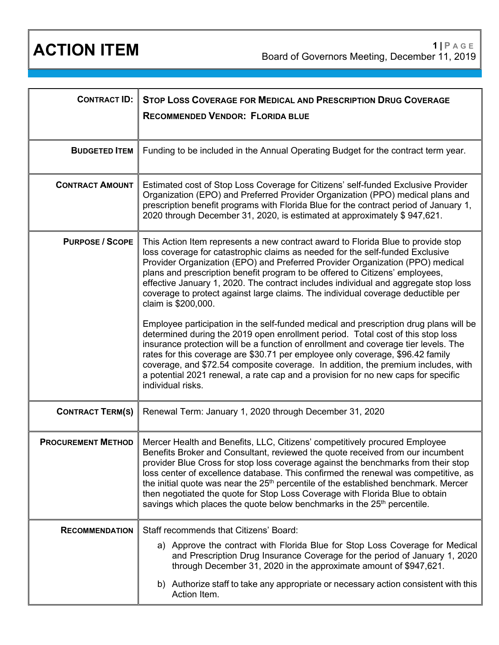| <b>CONTRACT ID:</b>       | STOP LOSS COVERAGE FOR MEDICAL AND PRESCRIPTION DRUG COVERAGE<br><b>RECOMMENDED VENDOR: FLORIDA BLUE</b>                                                                                                                                                                                                                                                                                                                                                                                                                                                                                                          |
|---------------------------|-------------------------------------------------------------------------------------------------------------------------------------------------------------------------------------------------------------------------------------------------------------------------------------------------------------------------------------------------------------------------------------------------------------------------------------------------------------------------------------------------------------------------------------------------------------------------------------------------------------------|
| <b>BUDGETED ITEM</b>      | Funding to be included in the Annual Operating Budget for the contract term year.                                                                                                                                                                                                                                                                                                                                                                                                                                                                                                                                 |
| <b>CONTRACT AMOUNT</b>    | Estimated cost of Stop Loss Coverage for Citizens' self-funded Exclusive Provider<br>Organization (EPO) and Preferred Provider Organization (PPO) medical plans and<br>prescription benefit programs with Florida Blue for the contract period of January 1,<br>2020 through December 31, 2020, is estimated at approximately \$947,621.                                                                                                                                                                                                                                                                          |
| <b>PURPOSE / SCOPE</b>    | This Action Item represents a new contract award to Florida Blue to provide stop<br>loss coverage for catastrophic claims as needed for the self-funded Exclusive<br>Provider Organization (EPO) and Preferred Provider Organization (PPO) medical<br>plans and prescription benefit program to be offered to Citizens' employees,<br>effective January 1, 2020. The contract includes individual and aggregate stop loss<br>coverage to protect against large claims. The individual coverage deductible per<br>claim is \$200,000.                                                                              |
|                           | Employee participation in the self-funded medical and prescription drug plans will be<br>determined during the 2019 open enrollment period. Total cost of this stop loss<br>insurance protection will be a function of enrollment and coverage tier levels. The<br>rates for this coverage are \$30.71 per employee only coverage, \$96.42 family<br>coverage, and \$72.54 composite coverage. In addition, the premium includes, with<br>a potential 2021 renewal, a rate cap and a provision for no new caps for specific<br>individual risks.                                                                  |
| <b>CONTRACT TERM(S)</b>   | Renewal Term: January 1, 2020 through December 31, 2020                                                                                                                                                                                                                                                                                                                                                                                                                                                                                                                                                           |
| <b>PROCUREMENT METHOD</b> | Mercer Health and Benefits, LLC, Citizens' competitively procured Employee<br>Benefits Broker and Consultant, reviewed the quote received from our incumbent<br>provider Blue Cross for stop loss coverage against the benchmarks from their stop<br>loss center of excellence database. This confirmed the renewal was competitive, as<br>the initial quote was near the 25 <sup>th</sup> percentile of the established benchmark. Mercer<br>then negotiated the quote for Stop Loss Coverage with Florida Blue to obtain<br>savings which places the quote below benchmarks in the 25 <sup>th</sup> percentile. |
| <b>RECOMMENDATION</b>     | Staff recommends that Citizens' Board:                                                                                                                                                                                                                                                                                                                                                                                                                                                                                                                                                                            |
|                           | a) Approve the contract with Florida Blue for Stop Loss Coverage for Medical<br>and Prescription Drug Insurance Coverage for the period of January 1, 2020<br>through December 31, 2020 in the approximate amount of \$947,621.                                                                                                                                                                                                                                                                                                                                                                                   |
|                           | b) Authorize staff to take any appropriate or necessary action consistent with this<br>Action Item.                                                                                                                                                                                                                                                                                                                                                                                                                                                                                                               |